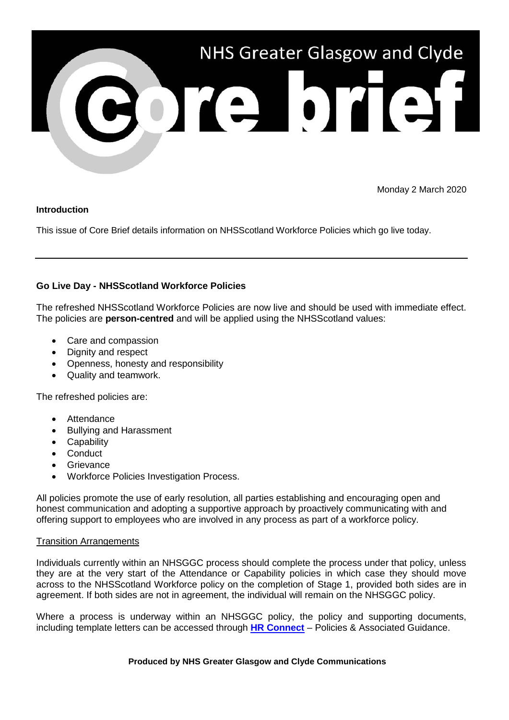

Monday 2 March 2020

## **Introduction**

This issue of Core Brief details information on NHSScotland Workforce Policies which go live today.

## **Go Live Day - NHSScotland Workforce Policies**

The refreshed NHSScotland Workforce Policies are now live and should be used with immediate effect. The policies are **person-centred** and will be applied using the NHSScotland values:

- Care and compassion
- Dignity and respect
- Openness, honesty and responsibility
- Quality and teamwork.

The refreshed policies are:

- Attendance
- Bullying and Harassment
- Capability
- Conduct
- Grievance
- Workforce Policies Investigation Process.

All policies promote the use of early resolution, all parties establishing and encouraging open and honest communication and adopting a supportive approach by proactively communicating with and offering support to employees who are involved in any process as part of a workforce policy.

## Transition Arrangements

Individuals currently within an NHSGGC process should complete the process under that policy, unless they are at the very start of the Attendance or Capability policies in which case they should move across to the NHSScotland Workforce policy on the completion of Stage 1, provided both sides are in agreement. If both sides are not in agreement, the individual will remain on the NHSGGC policy.

Where a process is underway within an NHSGGC policy, the policy and supporting documents, including template letters can be accessed through **[HR Connect](https://www.nhsggc.org.uk/working-with-us/hr-connect/policies-and-staff-governance/policies/)** – Policies & Associated Guidance.

## **Produced by NHS Greater Glasgow and Clyde Communications**